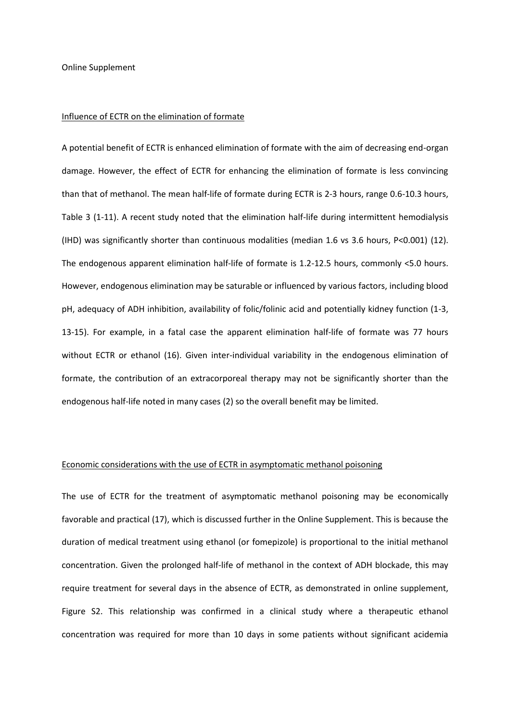Online Supplement

#### Influence of ECTR on the elimination of formate

A potential benefit of ECTR is enhanced elimination of formate with the aim of decreasing end-organ damage. However, the effect of ECTR for enhancing the elimination of formate is less convincing than that of methanol. The mean half-life of formate during ECTR is 2-3 hours, range 0.6-10.3 hours, Table 3 [\(1-11\)](#page-17-0). A recent study noted that the elimination half-life during intermittent hemodialysis (IHD) was significantly shorter than continuous modalities (median 1.6 vs 3.6 hours, P<0.001) [\(12\)](#page-17-1). The endogenous apparent elimination half-life of formate is 1.2-12.5 hours, commonly <5.0 hours. However, endogenous elimination may be saturable or influenced by various factors, including blood pH, adequacy of ADH inhibition, availability of folic/folinic acid and potentially kidney function [\(1-3,](#page-17-0) [13-15\)](#page-17-2). For example, in a fatal case the apparent elimination half-life of formate was 77 hours without ECTR or ethanol [\(16\)](#page-17-3). Given inter-individual variability in the endogenous elimination of formate, the contribution of an extracorporeal therapy may not be significantly shorter than the endogenous half-life noted in many cases [\(2\)](#page-17-4) so the overall benefit may be limited.

## Economic considerations with the use of ECTR in asymptomatic methanol poisoning

The use of ECTR for the treatment of asymptomatic methanol poisoning may be economically favorable and practical [\(17\)](#page-17-5), which is discussed further in the Online Supplement. This is because the duration of medical treatment using ethanol (or fomepizole) is proportional to the initial methanol concentration. Given the prolonged half-life of methanol in the context of ADH blockade, this may require treatment for several days in the absence of ECTR, as demonstrated in online supplement, Figure S2. This relationship was confirmed in a clinical study where a therapeutic ethanol concentration was required for more than 10 days in some patients without significant acidemia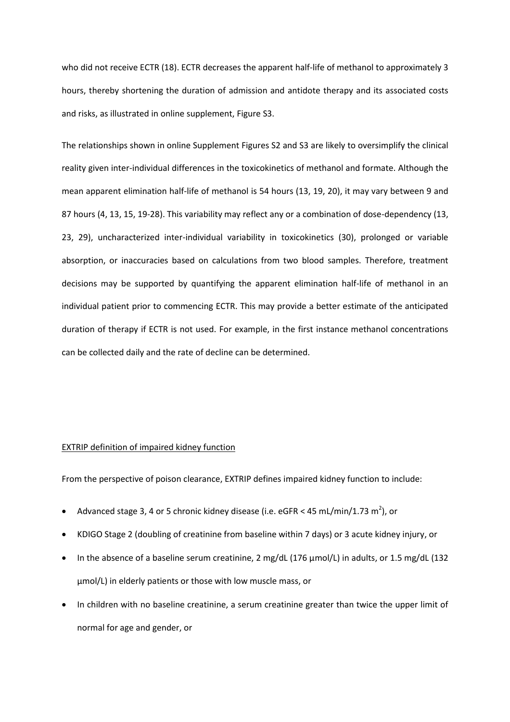who did not receive ECTR [\(18\)](#page-17-6). ECTR decreases the apparent half-life of methanol to approximately 3 hours, thereby shortening the duration of admission and antidote therapy and its associated costs and risks, as illustrated in online supplement, Figure S3.

The relationships shown in online Supplement Figures S2 and S3 are likely to oversimplify the clinical reality given inter-individual differences in the toxicokinetics of methanol and formate. Although the mean apparent elimination half-life of methanol is 54 hours [\(13,](#page-17-2) [19,](#page-17-7) [20\)](#page-17-8), it may vary between 9 and 87 hours [\(4,](#page-17-9) [13,](#page-17-2) [15,](#page-17-10) [19-28\)](#page-17-7). This variability may reflect any or a combination of dose-dependency [\(13,](#page-17-2) [23,](#page-17-11) [29\)](#page-18-0), uncharacterized inter-individual variability in toxicokinetics [\(30\)](#page-18-1), prolonged or variable absorption, or inaccuracies based on calculations from two blood samples. Therefore, treatment decisions may be supported by quantifying the apparent elimination half-life of methanol in an individual patient prior to commencing ECTR. This may provide a better estimate of the anticipated duration of therapy if ECTR is not used. For example, in the first instance methanol concentrations can be collected daily and the rate of decline can be determined.

# EXTRIP definition of impaired kidney function

From the perspective of poison clearance, EXTRIP defines impaired kidney function to include:

- Advanced stage 3, 4 or 5 chronic kidney disease (i.e. eGFR < 45 mL/min/1.73  $m^2$ ), or
- KDIGO Stage 2 (doubling of creatinine from baseline within 7 days) or 3 acute kidney injury, or
- In the absence of a baseline serum creatinine, 2 mg/dL (176  $\mu$ mol/L) in adults, or 1.5 mg/dL (132 µmol/L) in elderly patients or those with low muscle mass, or
- In children with no baseline creatinine, a serum creatinine greater than twice the upper limit of normal for age and gender, or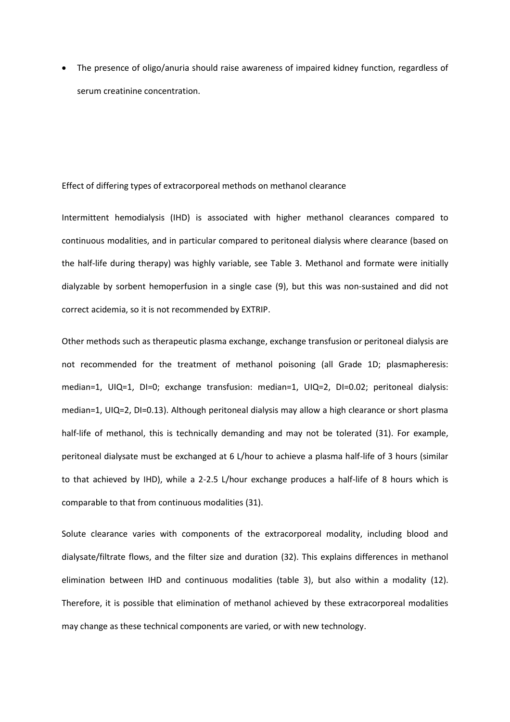The presence of oligo/anuria should raise awareness of impaired kidney function, regardless of serum creatinine concentration.

#### Effect of differing types of extracorporeal methods on methanol clearance

Intermittent hemodialysis (IHD) is associated with higher methanol clearances compared to continuous modalities, and in particular compared to peritoneal dialysis where clearance (based on the half-life during therapy) was highly variable, see Table 3. Methanol and formate were initially dialyzable by sorbent hemoperfusion in a single case [\(9\)](#page-17-12), but this was non-sustained and did not correct acidemia, so it is not recommended by EXTRIP.

Other methods such as therapeutic plasma exchange, exchange transfusion or peritoneal dialysis are not recommended for the treatment of methanol poisoning (all Grade 1D; plasmapheresis: median=1, UIQ=1, DI=0; exchange transfusion: median=1, UIQ=2, DI=0.02; peritoneal dialysis: median=1, UIQ=2, DI=0.13). Although peritoneal dialysis may allow a high clearance or short plasma half-life of methanol, this is technically demanding and may not be tolerated [\(31\)](#page-18-2). For example, peritoneal dialysate must be exchanged at 6 L/hour to achieve a plasma half-life of 3 hours (similar to that achieved by IHD), while a 2-2.5 L/hour exchange produces a half-life of 8 hours which is comparable to that from continuous modalities [\(31\)](#page-18-2).

Solute clearance varies with components of the extracorporeal modality, including blood and dialysate/filtrate flows, and the filter size and duration [\(32\)](#page-18-3). This explains differences in methanol elimination between IHD and continuous modalities (table 3), but also within a modality [\(12\)](#page-17-1). Therefore, it is possible that elimination of methanol achieved by these extracorporeal modalities may change as these technical components are varied, or with new technology.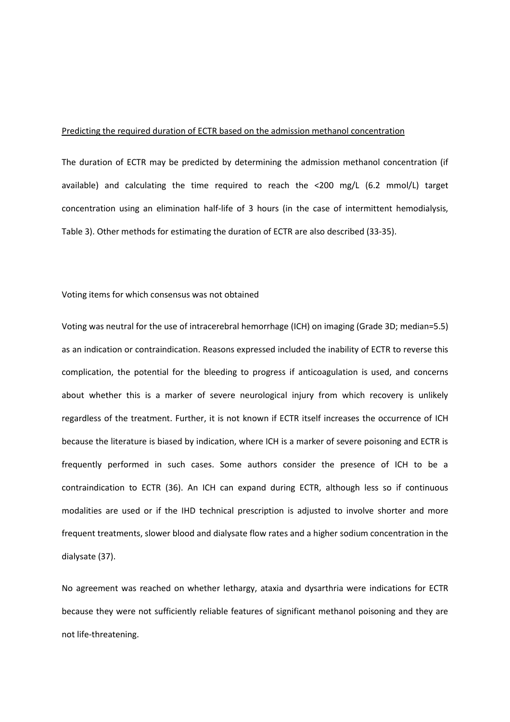### Predicting the required duration of ECTR based on the admission methanol concentration

The duration of ECTR may be predicted by determining the admission methanol concentration (if available) and calculating the time required to reach the <200 mg/L (6.2 mmol/L) target concentration using an elimination half-life of 3 hours (in the case of intermittent hemodialysis, Table 3). Other methods for estimating the duration of ECTR are also described [\(33-35\)](#page-18-4).

# Voting items for which consensus was not obtained

Voting was neutral for the use of intracerebral hemorrhage (ICH) on imaging (Grade 3D; median=5.5) as an indication or contraindication. Reasons expressed included the inability of ECTR to reverse this complication, the potential for the bleeding to progress if anticoagulation is used, and concerns about whether this is a marker of severe neurological injury from which recovery is unlikely regardless of the treatment. Further, it is not known if ECTR itself increases the occurrence of ICH because the literature is biased by indication, where ICH is a marker of severe poisoning and ECTR is frequently performed in such cases. Some authors consider the presence of ICH to be a contraindication to ECTR [\(36\)](#page-18-5). An ICH can expand during ECTR, although less so if continuous modalities are used or if the IHD technical prescription is adjusted to involve shorter and more frequent treatments, slower blood and dialysate flow rates and a higher sodium concentration in the dialysate [\(37\)](#page-18-6).

No agreement was reached on whether lethargy, ataxia and dysarthria were indications for ECTR because they were not sufficiently reliable features of significant methanol poisoning and they are not life-threatening.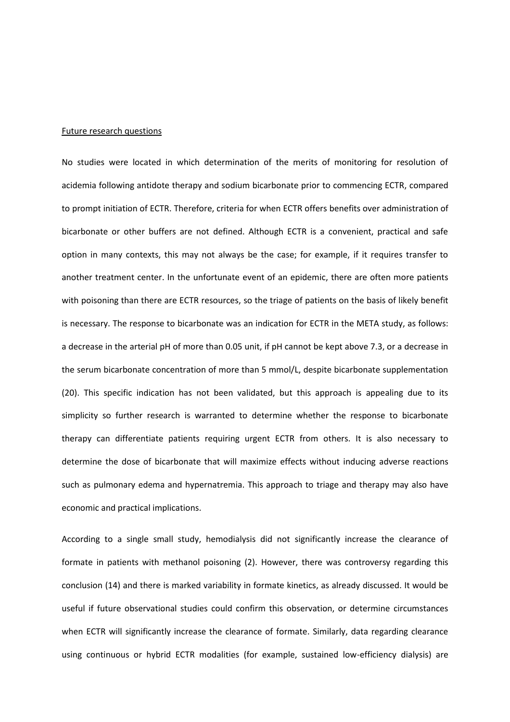#### Future research questions

No studies were located in which determination of the merits of monitoring for resolution of acidemia following antidote therapy and sodium bicarbonate prior to commencing ECTR, compared to prompt initiation of ECTR. Therefore, criteria for when ECTR offers benefits over administration of bicarbonate or other buffers are not defined. Although ECTR is a convenient, practical and safe option in many contexts, this may not always be the case; for example, if it requires transfer to another treatment center. In the unfortunate event of an epidemic, there are often more patients with poisoning than there are ECTR resources, so the triage of patients on the basis of likely benefit is necessary. The response to bicarbonate was an indication for ECTR in the META study, as follows: a decrease in the arterial pH of more than 0.05 unit, if pH cannot be kept above 7.3, or a decrease in the serum bicarbonate concentration of more than 5 mmol/L, despite bicarbonate supplementation [\(20\)](#page-17-8). This specific indication has not been validated, but this approach is appealing due to its simplicity so further research is warranted to determine whether the response to bicarbonate therapy can differentiate patients requiring urgent ECTR from others. It is also necessary to determine the dose of bicarbonate that will maximize effects without inducing adverse reactions such as pulmonary edema and hypernatremia. This approach to triage and therapy may also have economic and practical implications.

According to a single small study, hemodialysis did not significantly increase the clearance of formate in patients with methanol poisoning [\(2\)](#page-17-4). However, there was controversy regarding this conclusion [\(14\)](#page-17-13) and there is marked variability in formate kinetics, as already discussed. It would be useful if future observational studies could confirm this observation, or determine circumstances when ECTR will significantly increase the clearance of formate. Similarly, data regarding clearance using continuous or hybrid ECTR modalities (for example, sustained low-efficiency dialysis) are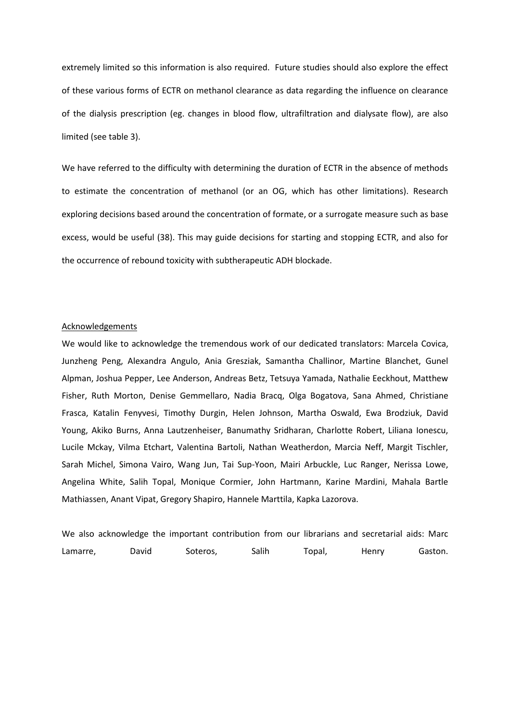extremely limited so this information is also required. Future studies should also explore the effect of these various forms of ECTR on methanol clearance as data regarding the influence on clearance of the dialysis prescription (eg. changes in blood flow, ultrafiltration and dialysate flow), are also limited (see table 3).

We have referred to the difficulty with determining the duration of ECTR in the absence of methods to estimate the concentration of methanol (or an OG, which has other limitations). Research exploring decisions based around the concentration of formate, or a surrogate measure such as base excess, would be useful [\(38\)](#page-18-7). This may guide decisions for starting and stopping ECTR, and also for the occurrence of rebound toxicity with subtherapeutic ADH blockade.

#### Acknowledgements

We would like to acknowledge the tremendous work of our dedicated translators: Marcela Covica, Junzheng Peng, Alexandra Angulo, Ania Gresziak, Samantha Challinor, Martine Blanchet, Gunel Alpman, Joshua Pepper, Lee Anderson, Andreas Betz, Tetsuya Yamada, Nathalie Eeckhout, Matthew Fisher, Ruth Morton, Denise Gemmellaro, Nadia Bracq, Olga Bogatova, Sana Ahmed, Christiane Frasca, Katalin Fenyvesi, Timothy Durgin, Helen Johnson, Martha Oswald, Ewa Brodziuk, David Young, Akiko Burns, Anna Lautzenheiser, Banumathy Sridharan, Charlotte Robert, Liliana Ionescu, Lucile Mckay, Vilma Etchart, Valentina Bartoli, Nathan Weatherdon, Marcia Neff, Margit Tischler, Sarah Michel, Simona Vairo, Wang Jun, Tai Sup-Yoon, Mairi Arbuckle, Luc Ranger, Nerissa Lowe, Angelina White, Salih Topal, Monique Cormier, John Hartmann, Karine Mardini, Mahala Bartle Mathiassen, Anant Vipat, Gregory Shapiro, Hannele Marttila, Kapka Lazorova.

We also acknowledge the important contribution from our librarians and secretarial aids: Marc Lamarre, David Soteros, Salih Topal, Henry Gaston.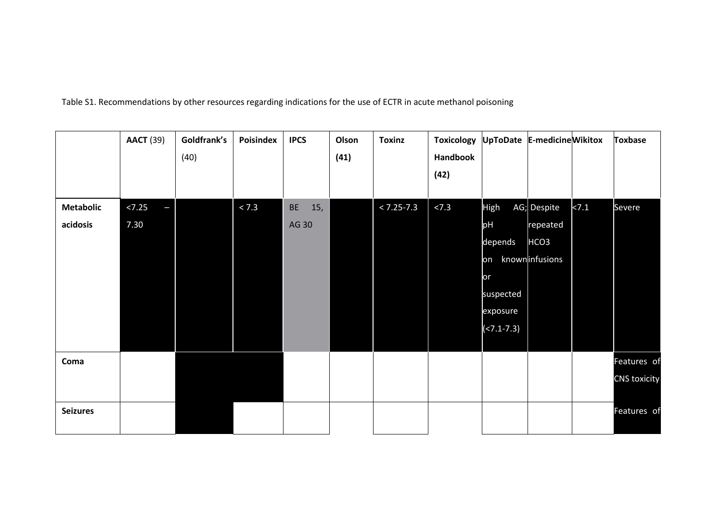Table S1. Recommendations by other resources regarding indications for the use of ECTR in acute methanol poisoning

|                              | <b>AACT</b> (39)    | Goldfrank's<br>(40) | Poisindex | <b>IPCS</b>        | Olson<br>(41) | <b>Toxinz</b>  | <b>Toxicology</b><br>Handbook<br>(42) | UpToDate E-medicine Wikitox                                                  |                                                               |      | <b>Toxbase</b>                     |
|------------------------------|---------------------|---------------------|-----------|--------------------|---------------|----------------|---------------------------------------|------------------------------------------------------------------------------|---------------------------------------------------------------|------|------------------------------------|
| <b>Metabolic</b><br>acidosis | < 7.25<br>Ξ<br>7.30 |                     | < 7.3     | 15,<br>BE<br>AG 30 |               | $< 7.25 - 7.3$ | < 7.3                                 | High<br>pH<br>depends<br>on<br>or<br>suspected<br>exposure<br>$(27.1 - 7.3)$ | AG; Despite<br>repeated<br>HCO <sub>3</sub><br>knowninfusions | 27.1 | Severe                             |
| Coma                         |                     |                     |           |                    |               |                |                                       |                                                                              |                                                               |      | Features of<br><b>CNS toxicity</b> |
| <b>Seizures</b>              |                     |                     |           |                    |               |                |                                       |                                                                              |                                                               |      | Features of                        |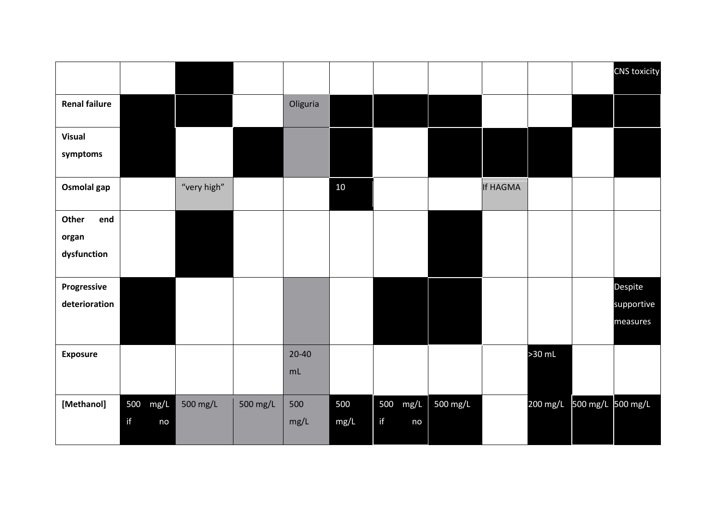|                      |          |             |          |           |        |          |          |          |                            | CNS toxicity |
|----------------------|----------|-------------|----------|-----------|--------|----------|----------|----------|----------------------------|--------------|
| <b>Renal failure</b> |          |             |          | Oliguria  |        |          |          |          |                            |              |
| <b>Visual</b>        |          |             |          |           |        |          |          |          |                            |              |
| symptoms             |          |             |          |           |        |          |          |          |                            |              |
| Osmolal gap          |          | "very high" |          |           | $10\,$ |          |          | If HAGMA |                            |              |
| end<br>Other         |          |             |          |           |        |          |          |          |                            |              |
| organ<br>dysfunction |          |             |          |           |        |          |          |          |                            |              |
|                      |          |             |          |           |        |          |          |          |                            |              |
| Progressive          |          |             |          |           |        |          |          |          |                            | Despite      |
| deterioration        |          |             |          |           |        |          |          |          |                            | supportive   |
|                      |          |             |          |           |        |          |          |          |                            | measures     |
| <b>Exposure</b>      |          |             |          | $20 - 40$ |        |          |          |          | $>30$ mL                   |              |
|                      |          |             |          | mL        |        |          |          |          |                            |              |
| [Methanol]           | 500 mg/L | 500 mg/L    | 500 mg/L | 500       | 500    | 500 mg/L | 500 mg/L |          | 200 mg/L 500 mg/L 500 mg/L |              |
|                      | if<br>no |             |          | mg/L      | mg/L   | if<br>no |          |          |                            |              |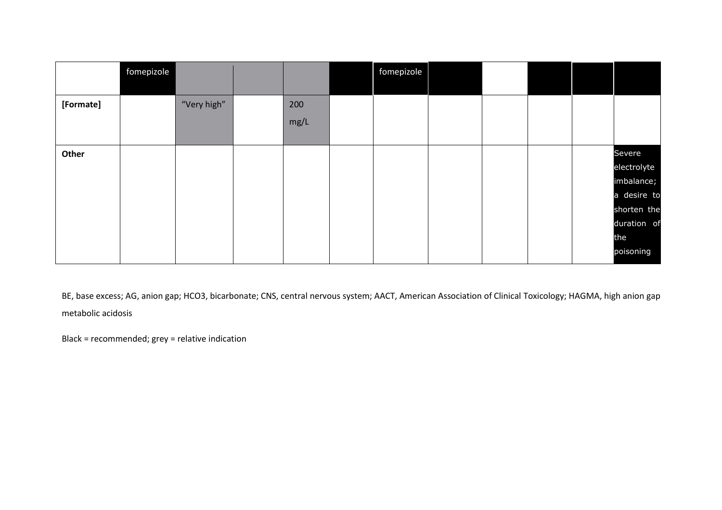|           | fomepizole |             |      | fomepizole |  |  |             |
|-----------|------------|-------------|------|------------|--|--|-------------|
|           |            |             |      |            |  |  |             |
| [Formate] |            | "Very high" | 200  |            |  |  |             |
|           |            |             | mg/L |            |  |  |             |
|           |            |             |      |            |  |  |             |
| Other     |            |             |      |            |  |  | Severe      |
|           |            |             |      |            |  |  | electrolyte |
|           |            |             |      |            |  |  | imbalance;  |
|           |            |             |      |            |  |  | a desire to |
|           |            |             |      |            |  |  | shorten the |
|           |            |             |      |            |  |  | duration of |
|           |            |             |      |            |  |  | the         |
|           |            |             |      |            |  |  | poisoning   |

BE, base excess; AG, anion gap; HCO3, bicarbonate; CNS, central nervous system; AACT, American Association of Clinical Toxicology; HAGMA, high anion gap metabolic acidosis

Black = recommended; grey = relative indication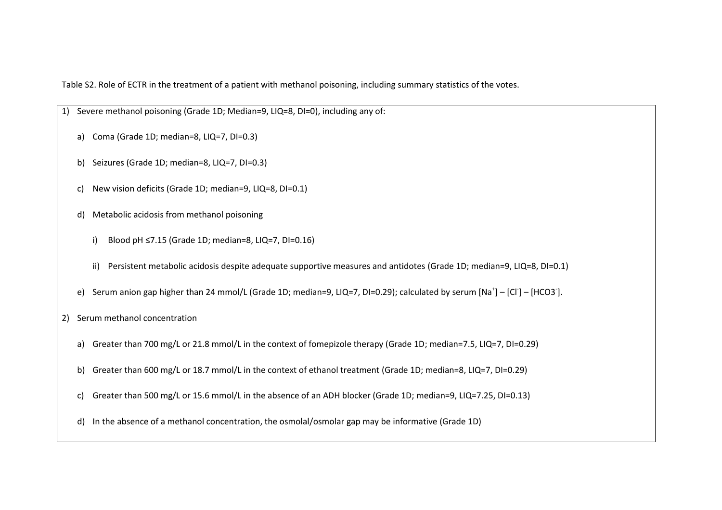Table S2. Role of ECTR in the treatment of a patient with methanol poisoning, including summary statistics of the votes.

- 1) Severe methanol poisoning (Grade 1D; Median=9, LIQ=8, DI=0), including any of: a) Coma (Grade 1D; median=8, LIQ=7, DI=0.3) b) Seizures (Grade 1D; median=8, LIQ=7, DI=0.3) c) New vision deficits (Grade 1D; median=9, LIQ=8, DI=0.1) d) Metabolic acidosis from methanol poisoning i) Blood pH ≤7.15 (Grade 1D; median=8, LIQ=7, DI=0.16) ii) Persistent metabolic acidosis despite adequate supportive measures and antidotes (Grade 1D; median=9, LIQ=8, DI=0.1)
	- e) Serum anion gap higher than 24 mmol/L (Grade 1D; median=9, LIQ=7, DI=0.29); calculated by serum [Na<sup>+</sup>] [Cl<sup>-</sup>] [HCO3<sup>-</sup>].

2) Serum methanol concentration

- a) Greater than 700 mg/L or 21.8 mmol/L in the context of fomepizole therapy (Grade 1D; median=7.5, LIQ=7, DI=0.29)
- b) Greater than 600 mg/L or 18.7 mmol/L in the context of ethanol treatment (Grade 1D; median=8, LIQ=7, DI=0.29)
- c) Greater than 500 mg/L or 15.6 mmol/L in the absence of an ADH blocker (Grade 1D; median=9, LIQ=7.25, DI=0.13)
- d) In the absence of a methanol concentration, the osmolal/osmolar gap may be informative (Grade 1D)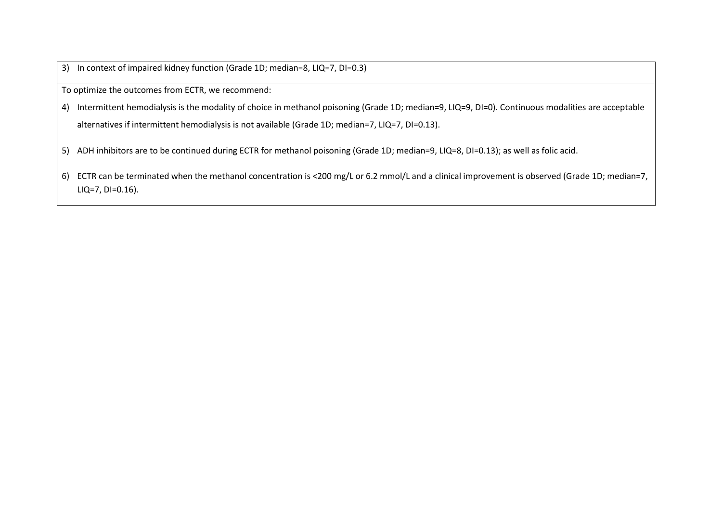3) In context of impaired kidney function (Grade 1D; median=8, LIQ=7, DI=0.3)

To optimize the outcomes from ECTR, we recommend:

4) Intermittent hemodialysis is the modality of choice in methanol poisoning (Grade 1D; median=9, LIQ=9, DI=0). Continuous modalities are acceptable alternatives if intermittent hemodialysis is not available (Grade 1D; median=7, LIQ=7, DI=0.13).

- 5) ADH inhibitors are to be continued during ECTR for methanol poisoning (Grade 1D; median=9, LIQ=8, DI=0.13); as well as folic acid.
- 6) ECTR can be terminated when the methanol concentration is <200 mg/L or 6.2 mmol/L and a clinical improvement is observed (Grade 1D; median=7, LIQ=7, DI=0.16).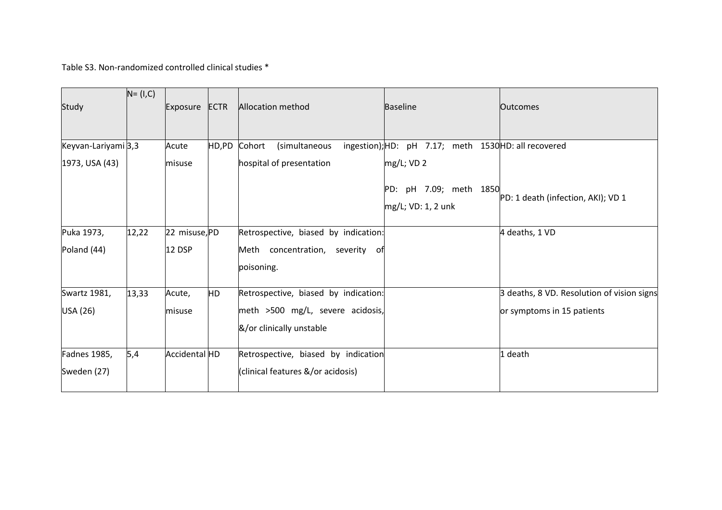Table S3. Non-randomized controlled clinical studies \*

| Study                                 | $N = (I, C)$ | Exposure        | <b>ECTR</b> | <b>Allocation method</b>                                     | <b>Baseline</b>                                                    | <b>Outcomes</b>                            |
|---------------------------------------|--------------|-----------------|-------------|--------------------------------------------------------------|--------------------------------------------------------------------|--------------------------------------------|
| Keyvan-Lariyami 3,3<br>1973, USA (43) |              | Acute<br>misuse | HD,PD       | Cohort<br>(simultaneous<br>hospital of presentation          | ingestion); HD: pH 7.17; meth 1530 HD: all recovered<br>mg/L; VD 2 |                                            |
|                                       |              |                 |             |                                                              | PD: pH 7.09; meth 1850<br>mg/L; VD: 1, 2 unk                       | PD: 1 death (infection, AKI); VD 1         |
| Puka 1973,                            | 12,22        | 22 misuse, PD   |             | Retrospective, biased by indication:                         |                                                                    | 4 deaths, 1 VD                             |
| Poland (44)                           |              | 12 DSP          |             | Meth concentration, severity of<br>poisoning.                |                                                                    |                                            |
| Swartz 1981,                          | 13,33        | Acute,          | HD          | Retrospective, biased by indication:                         |                                                                    | 3 deaths, 8 VD. Resolution of vision signs |
| USA (26)                              |              | misuse          |             | meth >500 mg/L, severe acidosis,<br>&/or clinically unstable |                                                                    | or symptoms in 15 patients                 |
| Fadnes 1985,                          | 5,4          | Accidental HD   |             | Retrospective, biased by indication                          |                                                                    | 1 death                                    |
| Sweden (27)                           |              |                 |             | (clinical features &/or acidosis)                            |                                                                    |                                            |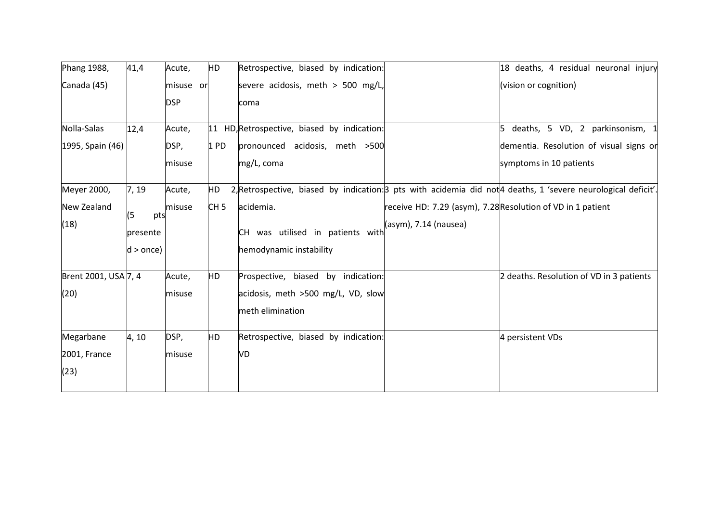| Phang 1988,          | 41,4        | Acute,     | HD              | Retrospective, biased by indication:        | 18 deaths, 4 residual neuronal injury                                                                          |
|----------------------|-------------|------------|-----------------|---------------------------------------------|----------------------------------------------------------------------------------------------------------------|
| Canada (45)          |             | misuse or  |                 | severe acidosis, meth > 500 mg/L,           | (vision or cognition)                                                                                          |
|                      |             | <b>DSP</b> |                 | coma                                        |                                                                                                                |
| Nolla-Salas          | 12,4        | Acute,     |                 | 11 HD, Retrospective, biased by indication: | deaths, 5 VD, 2 parkinsonism, 1                                                                                |
| 1995, Spain (46)     |             | DSP,       | 1 <sub>PD</sub> | pronounced acidosis, meth >500              | dementia. Resolution of visual signs or                                                                        |
|                      |             | misuse     |                 | mg/L, coma                                  | symptoms in 10 patients                                                                                        |
| Meyer 2000,          | 7, 19       | Acute,     | HD              |                                             | 2, Retrospective, biased by indication: 3 pts with acidemia did not 4 deaths, 1 'severe neurological deficit'. |
| New Zealand          |             | misuse     | CH <sub>5</sub> | acidemia.                                   | receive HD: 7.29 (asym), 7.28 Resolution of VD in 1 patient                                                    |
| (18)                 | (5<br>pts   |            |                 |                                             | (asym), 7.14 (nausea)                                                                                          |
|                      | presente    |            |                 | CH was utilised in patients with            |                                                                                                                |
|                      | $d >$ once) |            |                 | hemodynamic instability                     |                                                                                                                |
| Brent 2001, USA 7, 4 |             | Acute,     | <b>HD</b>       | Prospective, biased by indication:          | 2 deaths. Resolution of VD in 3 patients                                                                       |
| (20)                 |             | misuse     |                 | acidosis, meth >500 mg/L, VD, slow          |                                                                                                                |
|                      |             |            |                 | meth elimination                            |                                                                                                                |
| Megarbane            | 4, 10       | DSP,       | <b>HD</b>       | Retrospective, biased by indication:        | 4 persistent VDs                                                                                               |
| 2001, France         |             | misuse     |                 | VD                                          |                                                                                                                |
| (23)                 |             |            |                 |                                             |                                                                                                                |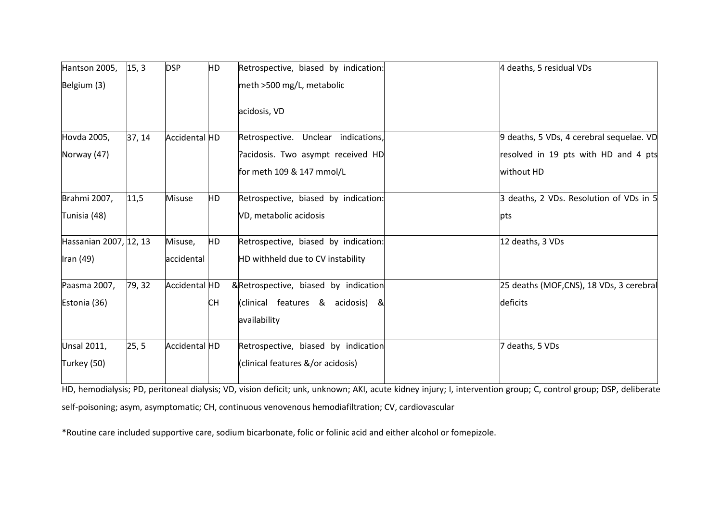| Hantson 2005,          | 15, 3  | <b>DSP</b>    | HD        | Retrospective, biased by indication: | 4 deaths, 5 residual VDs                 |
|------------------------|--------|---------------|-----------|--------------------------------------|------------------------------------------|
| Belgium (3)            |        |               |           | meth >500 mg/L, metabolic            |                                          |
|                        |        |               |           | acidosis, VD                         |                                          |
| Hovda 2005,            | 37, 14 | Accidental HD |           | Retrospective. Unclear indications,  | 9 deaths, 5 VDs, 4 cerebral sequelae. VD |
| Norway (47)            |        |               |           | Pacidosis. Two asympt received HD    | resolved in 19 pts with HD and 4 pts     |
|                        |        |               |           | for meth 109 & 147 mmol/L            | without HD                               |
| Brahmi 2007,           | 11,5   | <b>Misuse</b> | HD        | Retrospective, biased by indication: | 3 deaths, 2 VDs. Resolution of VDs in 5  |
| Tunisia (48)           |        |               |           | VD, metabolic acidosis               | pts                                      |
| Hassanian 2007, 12, 13 |        | Misuse,       | <b>HD</b> | Retrospective, biased by indication: | 12 deaths, 3 VDs                         |
| Iran (49)              |        | accidental    |           | HD withheld due to CV instability    |                                          |
| Paasma 2007,           | 79, 32 | Accidental HD |           | &Retrospective, biased by indication | 25 deaths (MOF,CNS), 18 VDs, 3 cerebral  |
| Estonia (36)           |        |               | <b>CH</b> | (clinical features & acidosis) &     | deficits                                 |
|                        |        |               |           | availability                         |                                          |
| <b>Unsal 2011,</b>     | 25, 5  | Accidental HD |           | Retrospective, biased by indication  | 7 deaths, 5 VDs                          |
| Turkey (50)            |        |               |           | (clinical features &/or acidosis)    |                                          |
|                        |        |               |           |                                      |                                          |

HD, hemodialysis; PD, peritoneal dialysis; VD, vision deficit; unk, unknown; AKI, acute kidney injury; I, intervention group; C, control group; DSP, deliberate self-poisoning; asym, asymptomatic; CH, continuous venovenous hemodiafiltration; CV, cardiovascular

\*Routine care included supportive care, sodium bicarbonate, folic or folinic acid and either alcohol or fomepizole.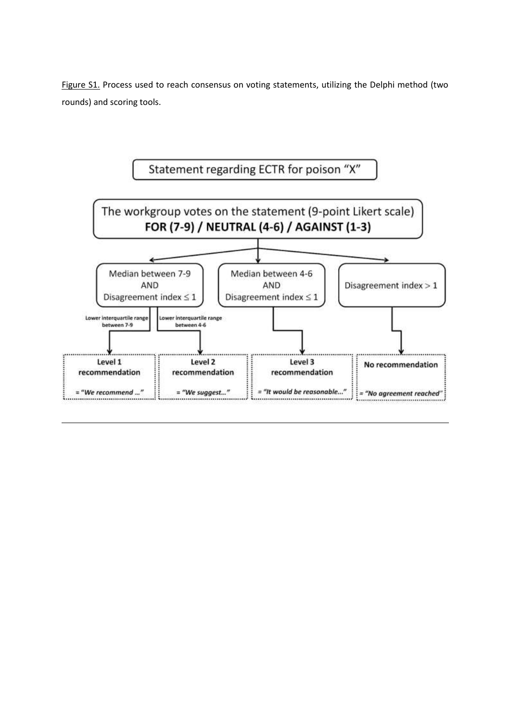Figure S1. Process used to reach consensus on voting statements, utilizing the Delphi method (two rounds) and scoring tools.

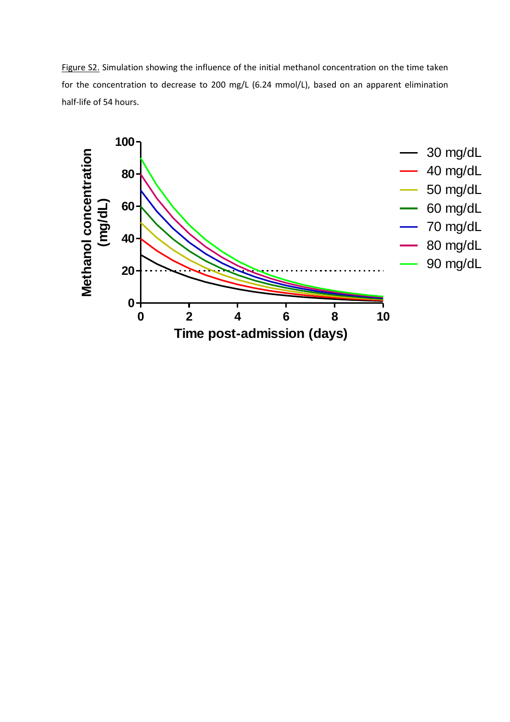Figure S2. Simulation showing the influence of the initial methanol concentration on the time taken for the concentration to decrease to 200 mg/L (6.24 mmol/L), based on an apparent elimination half-life of 54 hours.

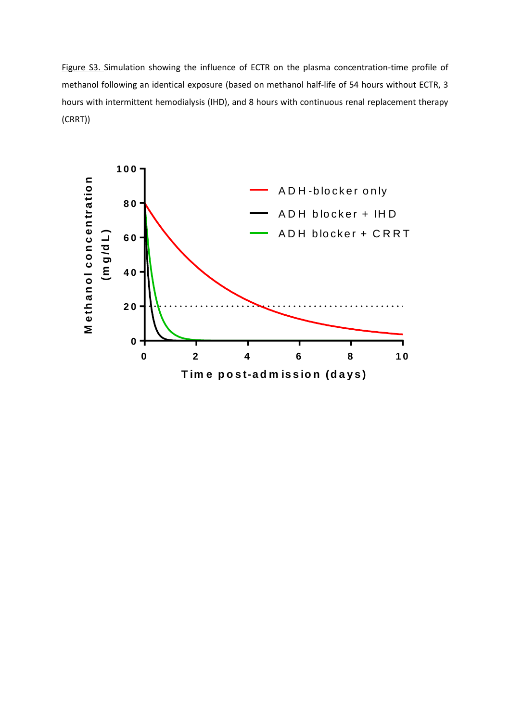Figure S3. Simulation showing the influence of ECTR on the plasma concentration-time profile of methanol following an identical exposure (based on methanol half-life of 54 hours without ECTR, 3 hours with intermittent hemodialysis (IHD), and 8 hours with continuous renal replacement therapy (CRRT))

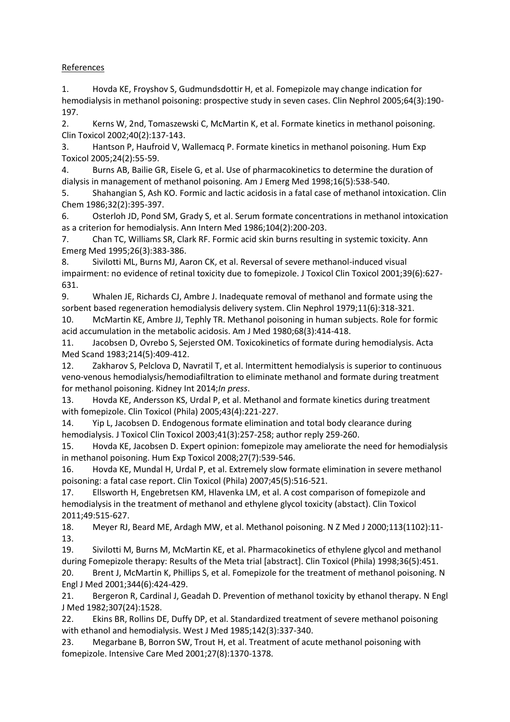# <span id="page-17-17"></span>**References**

<span id="page-17-0"></span>1. Hovda KE, Froyshov S, Gudmundsdottir H, et al. Fomepizole may change indication for hemodialysis in methanol poisoning: prospective study in seven cases. Clin Nephrol 2005;64(3):190- 197.

<span id="page-17-4"></span>2. Kerns W, 2nd, Tomaszewski C, McMartin K, et al. Formate kinetics in methanol poisoning. Clin Toxicol 2002;40(2):137-143.

3. Hantson P, Haufroid V, Wallemacq P. Formate kinetics in methanol poisoning. Hum Exp Toxicol 2005;24(2):55-59.

<span id="page-17-9"></span>4. Burns AB, Bailie GR, Eisele G, et al. Use of pharmacokinetics to determine the duration of dialysis in management of methanol poisoning. Am J Emerg Med 1998;16(5):538-540.

5. Shahangian S, Ash KO. Formic and lactic acidosis in a fatal case of methanol intoxication. Clin Chem 1986;32(2):395-397.

6. Osterloh JD, Pond SM, Grady S, et al. Serum formate concentrations in methanol intoxication as a criterion for hemodialysis. Ann Intern Med 1986;104(2):200-203.

7. Chan TC, Williams SR, Clark RF. Formic acid skin burns resulting in systemic toxicity. Ann Emerg Med 1995;26(3):383-386.

8. Sivilotti ML, Burns MJ, Aaron CK, et al. Reversal of severe methanol-induced visual impairment: no evidence of retinal toxicity due to fomepizole. J Toxicol Clin Toxicol 2001;39(6):627- 631.

<span id="page-17-12"></span>9. Whalen JE, Richards CJ, Ambre J. Inadequate removal of methanol and formate using the sorbent based regeneration hemodialysis delivery system. Clin Nephrol 1979;11(6):318-321.

<span id="page-17-14"></span>10. McMartin KE, Ambre JJ, Tephly TR. Methanol poisoning in human subjects. Role for formic acid accumulation in the metabolic acidosis. Am J Med 1980;68(3):414-418.

11. Jacobsen D, Ovrebo S, Sejersted OM. Toxicokinetics of formate during hemodialysis. Acta Med Scand 1983;214(5):409-412.

<span id="page-17-15"></span><span id="page-17-1"></span>12. Zakharov S, Pelclova D, Navratil T, et al. Intermittent hemodialysis is superior to continuous veno-venous hemodialysis/hemodiafiltration to eliminate methanol and formate during treatment for methanol poisoning. Kidney Int 2014;*In press*.

<span id="page-17-2"></span>13. Hovda KE, Andersson KS, Urdal P, et al. Methanol and formate kinetics during treatment with fomepizole. Clin Toxicol (Phila) 2005;43(4):221-227.

<span id="page-17-16"></span><span id="page-17-13"></span>14. Yip L, Jacobsen D. Endogenous formate elimination and total body clearance during hemodialysis. J Toxicol Clin Toxicol 2003;41(3):257-258; author reply 259-260.

<span id="page-17-10"></span>15. Hovda KE, Jacobsen D. Expert opinion: fomepizole may ameliorate the need for hemodialysis in methanol poisoning. Hum Exp Toxicol 2008;27(7):539-546.

<span id="page-17-3"></span>16. Hovda KE, Mundal H, Urdal P, et al. Extremely slow formate elimination in severe methanol poisoning: a fatal case report. Clin Toxicol (Phila) 2007;45(5):516-521.

<span id="page-17-5"></span>17. Ellsworth H, Engebretsen KM, Hlavenka LM, et al. A cost comparison of fomepizole and hemodialysis in the treatment of methanol and ethylene glycol toxicity (abstact). Clin Toxicol 2011;49:515-627.

<span id="page-17-6"></span>18. Meyer RJ, Beard ME, Ardagh MW, et al. Methanol poisoning. N Z Med J 2000;113(1102):11- 13.

<span id="page-17-7"></span>19. Sivilotti M, Burns M, McMartin KE, et al. Pharmacokinetics of ethylene glycol and methanol during Fomepizole therapy: Results of the Meta trial [abstract]. Clin Toxicol (Phila) 1998;36(5):451.

<span id="page-17-8"></span>20. Brent J, McMartin K, Phillips S, et al. Fomepizole for the treatment of methanol poisoning. N Engl J Med 2001;344(6):424-429.

21. Bergeron R, Cardinal J, Geadah D. Prevention of methanol toxicity by ethanol therapy. N Engl J Med 1982;307(24):1528.

22. Ekins BR, Rollins DE, Duffy DP, et al. Standardized treatment of severe methanol poisoning with ethanol and hemodialysis. West J Med 1985;142(3):337-340.

<span id="page-17-11"></span>23. Megarbane B, Borron SW, Trout H, et al. Treatment of acute methanol poisoning with fomepizole. Intensive Care Med 2001;27(8):1370-1378.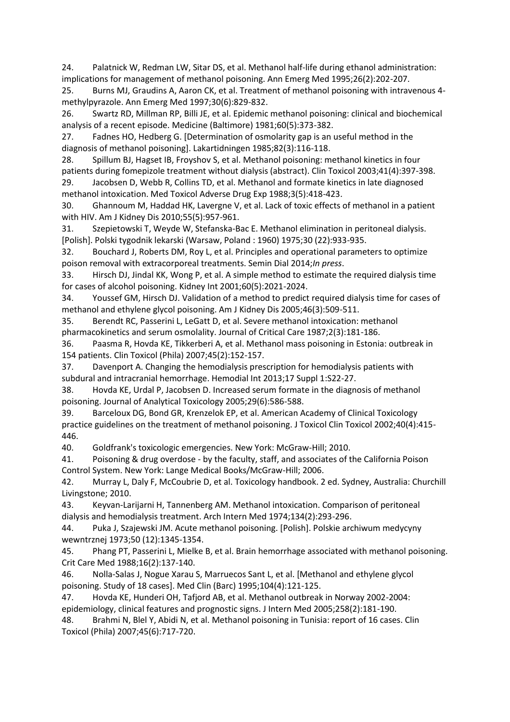<span id="page-18-15"></span><span id="page-18-14"></span>24. Palatnick W, Redman LW, Sitar DS, et al. Methanol half-life during ethanol administration: implications for management of methanol poisoning. Ann Emerg Med 1995;26(2):202-207.

25. Burns MJ, Graudins A, Aaron CK, et al. Treatment of methanol poisoning with intravenous 4 methylpyrazole. Ann Emerg Med 1997;30(6):829-832.

26. Swartz RD, Millman RP, Billi JE, et al. Epidemic methanol poisoning: clinical and biochemical analysis of a recent episode. Medicine (Baltimore) 1981;60(5):373-382.

<span id="page-18-20"></span>27. Fadnes HO, Hedberg G. [Determination of osmolarity gap is an useful method in the diagnosis of methanol poisoning]. Lakartidningen 1985;82(3):116-118.

28. Spillum BJ, Hagset IB, Froyshov S, et al. Methanol poisoning: methanol kinetics in four patients during fomepizole treatment without dialysis (abstract). Clin Toxicol 2003;41(4):397-398.

<span id="page-18-0"></span>29. Jacobsen D, Webb R, Collins TD, et al. Methanol and formate kinetics in late diagnosed methanol intoxication. Med Toxicol Adverse Drug Exp 1988;3(5):418-423.

<span id="page-18-8"></span><span id="page-18-1"></span>30. Ghannoum M, Haddad HK, Lavergne V, et al. Lack of toxic effects of methanol in a patient with HIV. Am J Kidney Dis 2010;55(5):957-961.

<span id="page-18-9"></span><span id="page-18-2"></span>31. Szepietowski T, Weyde W, Stefanska-Bac E. Methanol elimination in peritoneal dialysis. [Polish]. Polski tygodnik lekarski (Warsaw, Poland : 1960) 1975;30 (22):933-935.

<span id="page-18-10"></span><span id="page-18-3"></span>32. Bouchard J, Roberts DM, Roy L, et al. Principles and operational parameters to optimize poison removal with extracorporeal treatments. Semin Dial 2014;*In press*.

<span id="page-18-11"></span><span id="page-18-4"></span>33. Hirsch DJ, Jindal KK, Wong P, et al. A simple method to estimate the required dialysis time for cases of alcohol poisoning. Kidney Int 2001;60(5):2021-2024.

<span id="page-18-12"></span>34. Youssef GM, Hirsch DJ. Validation of a method to predict required dialysis time for cases of methanol and ethylene glycol poisoning. Am J Kidney Dis 2005;46(3):509-511.

<span id="page-18-13"></span>35. Berendt RC, Passerini L, LeGatt D, et al. Severe methanol intoxication: methanol pharmacokinetics and serum osmolality. Journal of Critical Care 1987;2(3):181-186.

<span id="page-18-16"></span><span id="page-18-5"></span>36. Paasma R, Hovda KE, Tikkerberi A, et al. Methanol mass poisoning in Estonia: outbreak in 154 patients. Clin Toxicol (Phila) 2007;45(2):152-157.

<span id="page-18-17"></span><span id="page-18-6"></span>37. Davenport A. Changing the hemodialysis prescription for hemodialysis patients with subdural and intracranial hemorrhage. Hemodial Int 2013;17 Suppl 1:S22-27.

<span id="page-18-18"></span><span id="page-18-7"></span>38. Hovda KE, Urdal P, Jacobsen D. Increased serum formate in the diagnosis of methanol poisoning. Journal of Analytical Toxicology 2005;29(6):586-588.

<span id="page-18-19"></span>39. Barceloux DG, Bond GR, Krenzelok EP, et al. American Academy of Clinical Toxicology practice guidelines on the treatment of methanol poisoning. J Toxicol Clin Toxicol 2002;40(4):415- 446.

40. Goldfrank's toxicologic emergencies. New York: McGraw-Hill; 2010.

41. Poisoning & drug overdose - by the faculty, staff, and associates of the California Poison Control System. New York: Lange Medical Books/McGraw-Hill; 2006.

42. Murray L, Daly F, McCoubrie D, et al. Toxicology handbook. 2 ed. Sydney, Australia: Churchill Livingstone; 2010.

43. Keyvan-Larijarni H, Tannenberg AM. Methanol intoxication. Comparison of peritoneal dialysis and hemodialysis treatment. Arch Intern Med 1974;134(2):293-296.

44. Puka J, Szajewski JM. Acute methanol poisoning. [Polish]. Polskie archiwum medycyny wewntrznej 1973;50 (12):1345-1354.

45. Phang PT, Passerini L, Mielke B, et al. Brain hemorrhage associated with methanol poisoning. Crit Care Med 1988;16(2):137-140.

46. Nolla-Salas J, Nogue Xarau S, Marruecos Sant L, et al. [Methanol and ethylene glycol poisoning. Study of 18 cases]. Med Clin (Barc) 1995;104(4):121-125.

47. Hovda KE, Hunderi OH, Tafjord AB, et al. Methanol outbreak in Norway 2002-2004: epidemiology, clinical features and prognostic signs. J Intern Med 2005;258(2):181-190.

48. Brahmi N, Blel Y, Abidi N, et al. Methanol poisoning in Tunisia: report of 16 cases. Clin Toxicol (Phila) 2007;45(6):717-720.